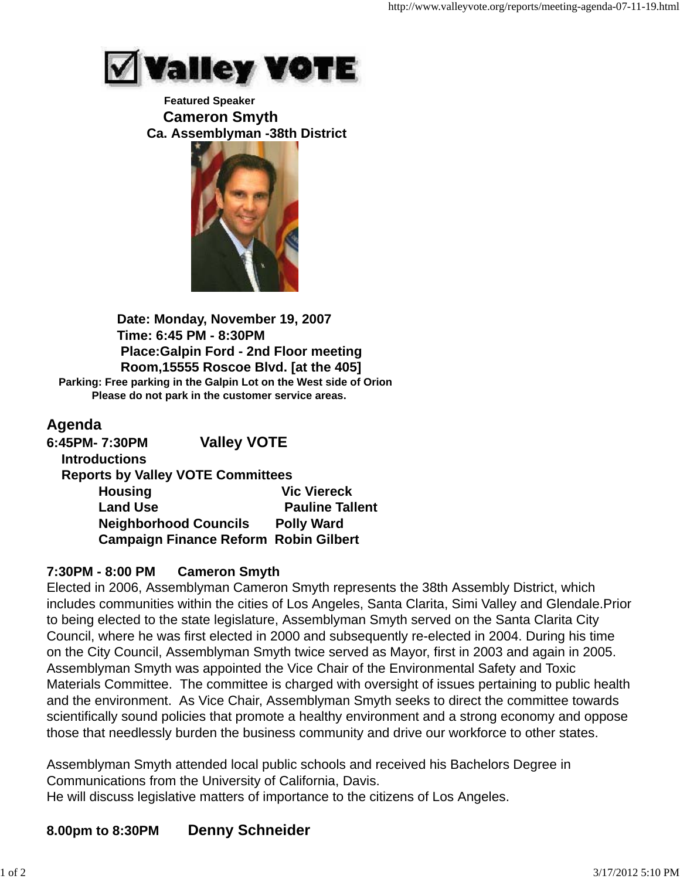

#### **Featured Speaker Cameron Smyth Ca. Assemblyman -38th District**



 **Date: Monday, November 19, 2007 Time: 6:45 PM - 8:30PM Place:Galpin Ford - 2nd Floor meeting Room,15555 Roscoe Blvd. [at the 405] Parking: Free parking in the Galpin Lot on the West side of Orion Please do not park in the customer service areas.**

## **Agenda**

**6:45PM- 7:30PM Valley VOTE Introductions Reports by Valley VOTE Committees Housing Communist Communist Communist Communist Vic Viereck Land Use Construction Construction Pauline Tallent Neighborhood Councils Polly Ward Campaign Finance Reform Robin Gilbert**

## **7:30PM - 8:00 PM Cameron Smyth**

Elected in 2006, Assemblyman Cameron Smyth represents the 38th Assembly District, which includes communities within the cities of Los Angeles, Santa Clarita, Simi Valley and Glendale.Prior to being elected to the state legislature, Assemblyman Smyth served on the Santa Clarita City Council, where he was first elected in 2000 and subsequently re-elected in 2004. During his time on the City Council, Assemblyman Smyth twice served as Mayor, first in 2003 and again in 2005. Assemblyman Smyth was appointed the Vice Chair of the Environmental Safety and Toxic Materials Committee. The committee is charged with oversight of issues pertaining to public health and the environment. As Vice Chair, Assemblyman Smyth seeks to direct the committee towards scientifically sound policies that promote a healthy environment and a strong economy and oppose those that needlessly burden the business community and drive our workforce to other states.

Assemblyman Smyth attended local public schools and received his Bachelors Degree in Communications from the University of California, Davis.

He will discuss legislative matters of importance to the citizens of Los Angeles.

# **8.00pm to 8:30PM Denny Schneider**